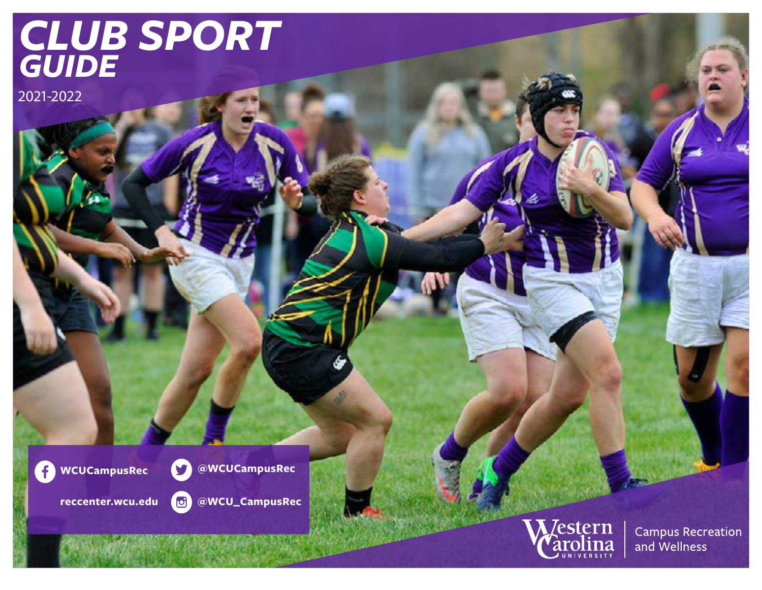# *CLUB SPORT GUIDE*

2021-2022

 $\left( \begin{matrix} 1 \\ 1 \end{matrix} \right)$ **WCUCampusRec**



**reccenter.wcu.edu**





**Campus Recreation** and Wellness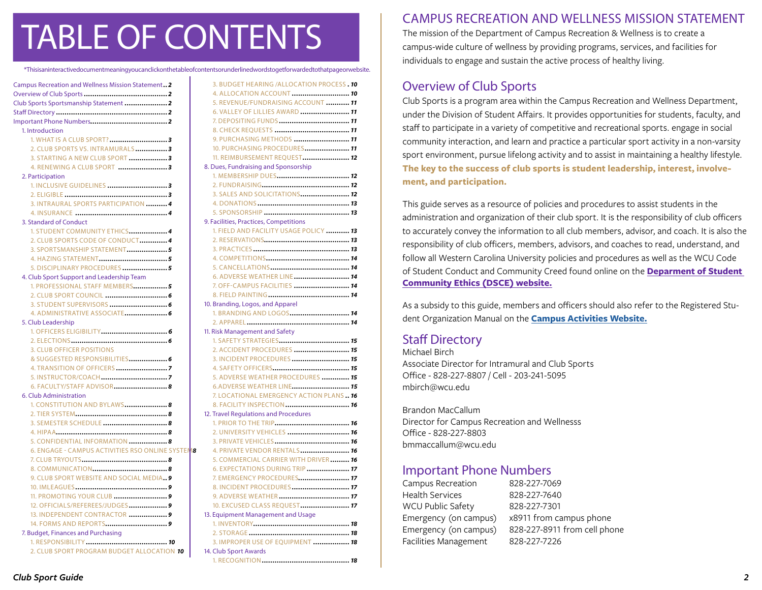# TABLE OF CONTENTS

|                                                   | *Thisisaninteractivedocumentmeaningyoucanclickonthetableofcontentsorunderlinedwordstogetforwardedtothatpageorwebsite. |
|---------------------------------------------------|-----------------------------------------------------------------------------------------------------------------------|
| Campus Recreation and Wellness Mission Statement2 | 3. BUDGET HEARING /ALLOCATION PROCESS. 10                                                                             |
|                                                   | 4. ALLOCATION ACCOUNT  10                                                                                             |
| Club Sports Sportsmanship Statement 2             | 5. REVENUE/FUNDRAISING ACCOUNT  11                                                                                    |
|                                                   | 6. VALLEY OF LILLIES AWARD  11                                                                                        |
|                                                   |                                                                                                                       |
| 1. Introduction                                   |                                                                                                                       |
|                                                   | 9. PURCHASING METHODS  11                                                                                             |
| 2. CLUB SPORTS VS. INTRAMURALS3                   | 10. PURCHASING PROCEDURES 11                                                                                          |
| 3. STARTING A NEW CLUB SPORT  3                   | 11. REIMBURSEMENT REOUEST 12                                                                                          |
| 4. RENEWING A CLUB SPORT 3                        | 8. Dues, Fundraising and Sponsorship                                                                                  |
| 2. Participation                                  | 1. MEMBERSHIP DUES 12                                                                                                 |
|                                                   |                                                                                                                       |
|                                                   | 3. SALES AND SOLICITATIONS 12                                                                                         |
| 3. INTRAURAL SPORTS PARTICIPATION  4              |                                                                                                                       |
|                                                   |                                                                                                                       |
| 3. Standard of Conduct                            | 9. Facilities, Practices, Competitions                                                                                |
| 1. STUDENT COMMUNITY ETHICS 4                     | 1. FIELD AND FACILITY USAGE POLICY  13                                                                                |
| 2. CLUB SPORTS CODE OF CONDUCT4                   |                                                                                                                       |
| 3. SPORTSMANSHIP STATEMENT5                       |                                                                                                                       |
|                                                   |                                                                                                                       |
| 5. DISCIPLINARY PROCEDURES 5                      |                                                                                                                       |
| 4. Club Sport Support and Leadership Team         | 6. ADVERSE WEATHER LINE 14                                                                                            |
| 1. PROFESSIONAL STAFF MEMBERS 5                   | 7. OFF-CAMPUS FACILITIES  14                                                                                          |
|                                                   |                                                                                                                       |
|                                                   | 10. Branding, Logos, and Apparel                                                                                      |
|                                                   |                                                                                                                       |
| 5. Club Leadership                                |                                                                                                                       |
|                                                   | 11. Risk Management and Safety                                                                                        |
|                                                   |                                                                                                                       |
| <b>3. CLUB OFFICER POSITIONS</b>                  | 2. ACCIDENT PROCEDURES  15                                                                                            |
|                                                   | 3. INCIDENT PROCEDURES  15                                                                                            |
|                                                   |                                                                                                                       |
|                                                   | 5. ADVERSE WEATHER PROCEDURES  15                                                                                     |
| 6. FACULTY/STAFF ADVISOR 8                        | 6.ADVERSE WEATHER LINE 15                                                                                             |
| 6. Club Administration                            | 7. LOCATIONAL EMERGENCY ACTION PLANS  16                                                                              |
| 1. CONSTITUTION AND BYLAWS 8                      | 8. FACILITY INSPECTION 16                                                                                             |
|                                                   | 12. Travel Regulations and Procedures                                                                                 |
| 3. SEMESTER SCHEDULE  8                           |                                                                                                                       |
|                                                   | 2. UNIVERSITY VEHICLES  16                                                                                            |
| 5. CONFIDENTIAL INFORMATION  8                    |                                                                                                                       |
| 6. ENGAGE - CAMPUS ACTIVITIES RSO ONLINE SYSTEM8  | 4. PRIVATE VENDOR RENTALS 16                                                                                          |
|                                                   | 5. COMMERCIAL CARRIER WITH DRIVER 16                                                                                  |
|                                                   | 6. EXPECTATIONS DURING TRIP  17                                                                                       |
| 9. CLUB SPORT WEBSITE AND SOCIAL MEDIA 9          | 7. EMERGENCY PROCEDURES 17                                                                                            |
|                                                   | 8. INCIDENT PROCEDURES 17                                                                                             |
|                                                   |                                                                                                                       |
| 12. OFFICIALS/REFEREES/JUDGES 9                   | 10. EXCUSED CLASS REOUEST 17                                                                                          |
| 13. INDEPENDENT CONTRACTOR  9                     | 13. Equipment Management and Usage                                                                                    |
|                                                   |                                                                                                                       |
| 7. Budget, Finances and Purchasing                |                                                                                                                       |

1. RESPONSIBILITY *[......................................](#page-9-0) 10* [2. CLUB SPORT PROGRAM BUDGET ALLOCATION](#page-9-0) *10*

 $14.$ 

| 3. BUDGET HEARING /ALLOCATION PROCESS . 10 |
|--------------------------------------------|
| 4. ALLOCATION ACCOUNT  10                  |
| 5. REVENUE/FUNDRAISING ACCOUNT  11         |
| 6. VALLEY OF LILLIES AWARD  11             |
| 7. DEPOSITING FUNDS  11                    |
|                                            |
| 9. PURCHASING METHODS  11                  |
| 10. PURCHASING PROCEDURES 11               |
| 11. REIMBURSEMENT REQUEST 12               |
| 8. Dues, Fundraising and Sponsorship       |
|                                            |
|                                            |
| 3. SALES AND SOLICITATIONS 12              |
|                                            |
|                                            |
| 9. Facilities, Practices, Competitions     |
| 1. FIELD AND FACILITY USAGE POLICY  13     |
|                                            |
|                                            |
|                                            |
|                                            |
| 6. ADVERSE WEATHER LINE 14                 |
| 7. OFF-CAMPUS FACILITIES  14               |
|                                            |
| 10. Branding, Logos, and Apparel           |
|                                            |
|                                            |
| 11. Risk Management and Safety             |
|                                            |
| 2. ACCIDENT PROCEDURES  15                 |
| 3. INCIDENT PROCEDURES  15                 |
|                                            |
| 5. ADVERSE WEATHER PROCEDURES  15          |
| 6.ADVERSE WEATHER LINE 15                  |
| 7. LOCATIONAL EMERGENCY ACTION PLANS 16    |
| 8. FACILITY INSPECTION  16                 |
| 12. Travel Regulations and Procedures      |
|                                            |
| 2. UNIVERSITY VEHICLES  16                 |
|                                            |
| 4. PRIVATE VENDOR RENTALS 16               |
| 5. COMMERCIAL CARRIER WITH DRIVER 16       |
| 6. EXPECTATIONS DURING TRIP  17            |
| 7. EMERGENCY PROCEDURES 17                 |
| 8. INCIDENT PROCEDURES 17                  |
| 9. ADVERSE WEATHER 17                      |
| 10. EXCUSED CLASS REQUEST 17               |
| 13. Equipment Management and Usage         |
|                                            |
|                                            |
| 3. IMPROPER USE OF EQUIPMENT  18           |
| 14. Club Sport Awards                      |
|                                            |

# CAMPUS RECREATION AND WELLNESS MISSION STATEMENT

The mission of the Department of Campus Recreation & Wellness is to create a campus-wide culture of wellness by providing programs, services, and facilities for individuals to engage and sustain the active process of healthy living.

## Overview of Club Sports

Club Sports is a program area within the Campus Recreation and Wellness Department, under the Division of Student Affairs. It provides opportunities for students, faculty, and staff to participate in a variety of competitive and recreational sports. engage in social community interaction, and learn and practice a particular sport activity in a non-varsity sport environment, pursue lifelong activity and to assist in maintaining a healthy lifestyle. **The key to the success of club sports is student leadership, interest, involvement, and participation.**

This guide serves as a resource of policies and procedures to assist students in the administration and organization of their club sport. It is the responsibility of club officers to accurately convey the information to all club members, advisor, and coach. It is also the responsibility of club officers, members, advisors, and coaches to read, understand, and follow all Western Carolina University policies and procedures as well as the WCU Code of Student Conduct and Community Creed found online on th[e](http://dsce.wcu.edu) **[Deparment of Student](https://www.wcu.edu/experience/dean-of-students/student-community-ethics/)  [Community Ethics \(DSCE\) website.](https://www.wcu.edu/experience/dean-of-students/student-community-ethics/)**

As a subsidy to this guide, members and officers should also refer to the Registered Student Organization Manual on the **[Campus Activities Website.](https://www.wcu.edu/experience/campus-activities/index.aspx)**

# Staff Directory

Michael Birch Associate Director for Intramural and Club Sports Office - 828-227-8807 / Cell - 203-241-5095 mbirch@wcu.edu

Brandon MacCallum Director for Campus Recreation and Wellnesss Office - 828-227-8803 bmmaccallum@wcu.edu

## Important Phone Numbers

| Campus Recreation        | 828-227-7069                 |
|--------------------------|------------------------------|
| <b>Health Services</b>   | 828-227-7640                 |
| <b>WCU Public Safety</b> | 828-227-7301                 |
| Emergency (on campus)    | x8911 from campus phone      |
| Emergency (on campus)    | 828-227-8911 from cell phone |
| Facilities Management    | 828-227-7226                 |
|                          |                              |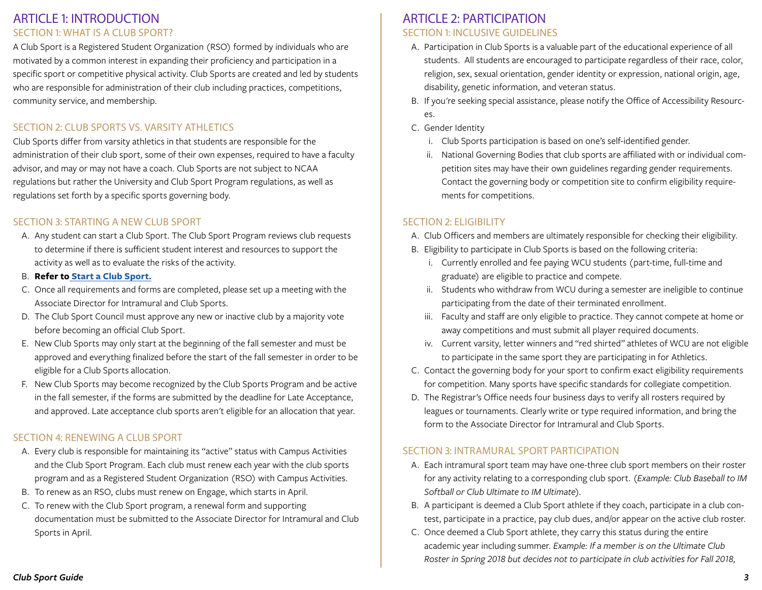## <span id="page-2-0"></span>ARTICLE 1: INTRODUCTION SECTION 1: WHAT IS A CLUB SPORT?

A Club Sport is a Registered Student Organization (RSO) formed by individuals who are motivated by a common interest in expanding their proficiency and participation in a specific sport or competitive physical activity. Club Sports are created and led by students who are responsible for administration of their club including practices, competitions, community service, and membership.

## SECTION 2: CLUB SPORTS VS. VARSITY ATHLETICS

Club Sports differ from varsity athletics in that students are responsible for the administration of their club sport, some of their own expenses, required to have a faculty advisor, and may or may not have a coach. Club Sports are not subject to NCAA regulations but rather the University and Club Sport Program regulations, as well as regulations set forth by a specific sports governing body.

#### SECTION 3: STARTING A NEW CLUB SPORT

- A. Any student can start a Club Sport. The Club Sport Program reviews club requests to determine if there is sufficient student interest and resources to support the activity as well as to evaluate the risks of the activity.
- B. **Refer to [Start a Club Sport.](https://www.wcu.edu/experience/campus-recreation/club-sports.aspx)**
- C. Once all requirements and forms are completed, please set up a meeting with the Associate Director for Intramural and Club Sports.
- D. The Club Sport Council must approve any new or inactive club by a majority vote before becoming an official Club Sport.
- E. New Club Sports may only start at the beginning of the fall semester and must be approved and everything finalized before the start of the fall semester in order to be eligible for a Club Sports allocation.
- F. New Club Sports may become recognized by the Club Sports Program and be active in the fall semester, if the forms are submitted by the deadline for Late Acceptance, and approved. Late acceptance club sports aren't eligible for an allocation that year.

#### SECTION 4: RENEWING A CLUB SPORT

- A. Every club is responsible for maintaining its "active" status with Campus Activities and the Club Sport Program. Each club must renew each year with the club sports program and as a Registered Student Organization (RSO) with Campus Activities.
- B. To renew as an RSO, clubs must renew on Engage, which starts in April.
- C. To renew with the Club Sport program, a renewal form and supporting documentation must be submitted to the Associate Director for Intramural and Club Sports in April.

## ARTICLE 2: PARTICIPATION SECTION 1: INCLUSIVE GUIDELINES

- A. Participation in Club Sports is a valuable part of the educational experience of all students. All students are encouraged to participate regardless of their race, color, religion, sex, sexual orientation, gender identity or expression, national origin, age, disability, genetic information, and veteran status.
- B. If you're seeking special assistance, please notify the Office of Accessibility Resources.
- C. Gender Identity
	- i. Club Sports participation is based on one's self-identified gender.
	- ii. National Governing Bodies that club sports are affiliated with or individual competition sites may have their own guidelines regarding gender requirements. Contact the governing body or competition site to confirm eligibility requirements for competitions.

#### SECTION 2: ELIGIBILITY

- A. Club Officers and members are ultimately responsible for checking their eligibility.
- B. Eligibility to participate in Club Sports is based on the following criteria:
	- i. Currently enrolled and fee paying WCU students (part-time, full-time and graduate) are eligible to practice and compete.
	- ii. Students who withdraw from WCU during a semester are ineligible to continue participating from the date of their terminated enrollment.
	- iii. Faculty and staff are only eligible to practice. They cannot compete at home or away competitions and must submit all player required documents.
	- iv. Current varsity, letter winners and "red shirted" athletes of WCU are not eligible to participate in the same sport they are participating in for Athletics.
- C. Contact the governing body for your sport to confirm exact eligibility requirements for competition. Many sports have specific standards for collegiate competition.
- D. The Registrar's Office needs four business days to verify all rosters required by leagues or tournaments. Clearly write or type required information, and bring the form to the Associate Director for Intramural and Club Sports.

#### SECTION 3: INTRAMURAL SPORT PARTICIPATION

- A. Each intramural sport team may have one-three club sport members on their roster for any activity relating to a corresponding club sport. (*Example: Club Baseball to IM Softball or Club Ultimate to IM Ultimate).*
- B. A participant is deemed a Club Sport athlete if they coach, participate in a club contest, participate in a practice, pay club dues, and/or appear on the active club roster.
- C. Once deemed a Club Sport athlete, they carry this status during the entire academic year including summer. *Example: If a member is on the Ultimate Club Roster in Spring 2018 but decides not to participate in club activities for Fall 2018,*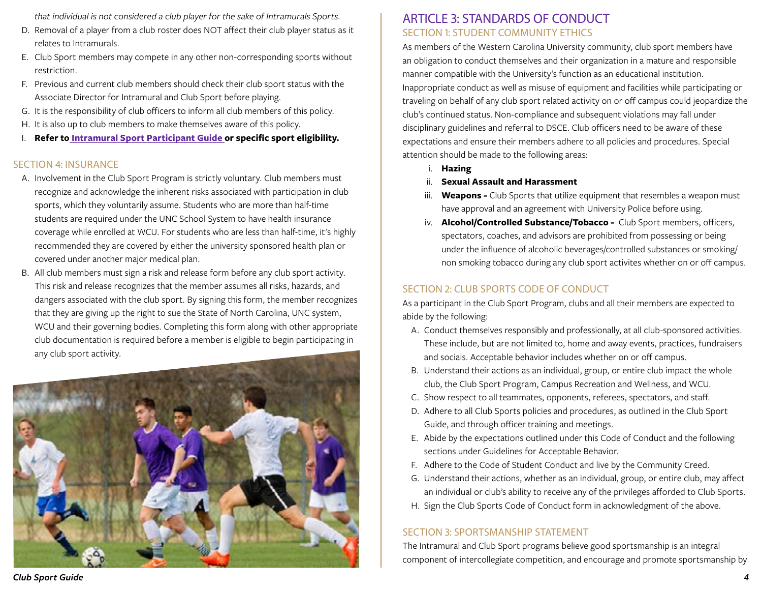*that individual is not considered a club player for the sake of Intramurals Sports.*

- D. Removal of a player from a club roster does NOT affect their club player status as it relates to Intramurals.
- E. Club Sport members may compete in any other non-corresponding sports without restriction.
- F. Previous and current club members should check their club sport status with the Associate Director for Intramural and Club Sport before playing.
- G. It is the responsibility of club officers to inform all club members of this policy.
- H. It is also up to club members to make themselves aware of this policy.
- I. **Refer to [Intramural Sport Participant Guide](http://www.wcu.edu/experience/connect-and-join/campus-recreation/intramural-sports/index.aspx) or specific sport eligibility.**

#### SECTION 4: INSURANCE

- A. Involvement in the Club Sport Program is strictly voluntary. Club members must recognize and acknowledge the inherent risks associated with participation in club sports, which they voluntarily assume. Students who are more than half-time students are required under the UNC School System to have health insurance coverage while enrolled at WCU. For students who are less than half-time, it's highly recommended they are covered by either the university sponsored health plan or covered under another major medical plan.
- B. All club members must sign a risk and release form before any club sport activity. This risk and release recognizes that the member assumes all risks, hazards, and dangers associated with the club sport. By signing this form, the member recognizes that they are giving up the right to sue the State of North Carolina, UNC system, WCU and their governing bodies. Completing this form along with other appropriate club documentation is required before a member is eligible to begin participating in any club sport activity.



## ARTICLE 3: STANDARDS OF CONDUCT SECTION 1: STUDENT COMMUNITY ETHICS

As members of the Western Carolina University community, club sport members have an obligation to conduct themselves and their organization in a mature and responsible manner compatible with the University's function as an educational institution. Inappropriate conduct as well as misuse of equipment and facilities while participating or traveling on behalf of any club sport related activity on or off campus could jeopardize the club's continued status. Non-compliance and subsequent violations may fall under disciplinary guidelines and referral to DSCE. Club officers need to be aware of these expectations and ensure their members adhere to all policies and procedures. Special attention should be made to the following areas:

- i. **[Hazing](http://www.wcu.edu/experience/dean-of-students/student-community-ethics/index.aspx)**
- ii. **[Sexual Assault and Harassment](http://www.wcu.edu/experience/dean-of-students/Sexual-Assault-Awareness/index.aspx)**
- iii. **Weapons -** Club Sports that utilize equipment that resembles a weapon must have approval and an agreement with University Police before using.
- iv. **Alcohol/Controlled Substance/Tobacco -** Club Sport members, officers, spectators, coaches, and advisors are prohibited from possessing or being under the influence of alcoholic beverages/controlled substances or smoking/ non smoking tobacco during any club sport activites whether on or off campus.

## SECTION 2: CLUB SPORTS CODE OF CONDUCT

As a participant in the Club Sport Program, clubs and all their members are expected to abide by the following:

- A. Conduct themselves responsibly and professionally, at all club-sponsored activities. These include, but are not limited to, home and away events, practices, fundraisers and socials. Acceptable behavior includes whether on or off campus.
- B. Understand their actions as an individual, group, or entire club impact the whole club, the Club Sport Program, Campus Recreation and Wellness, and WCU.
- C. Show respect to all teammates, opponents, referees, spectators, and staff.
- D. Adhere to all Club Sports policies and procedures, as outlined in the Club Sport Guide, and through officer training and meetings.
- E. Abide by the expectations outlined under this Code of Conduct and the following sections under Guidelines for Acceptable Behavior.
- F. Adhere to the Code of Student Conduct and live by the Community Creed.
- G. Understand their actions, whether as an individual, group, or entire club, may affect an individual or club's ability to receive any of the privileges afforded to Club Sports.
- H. Sign the Club Sports Code of Conduct form in acknowledgment of the above.

## SECTION 3: SPORTSMANSHIP STATEMENT

The Intramural and Club Sport programs believe good sportsmanship is an integral component of intercollegiate competition, and encourage and promote sportsmanship by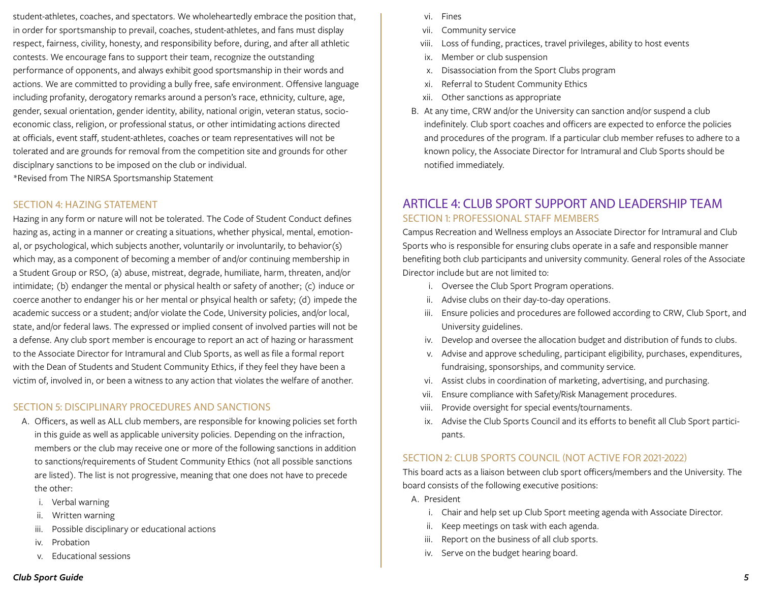<span id="page-4-0"></span>student-athletes, coaches, and spectators. We wholeheartedly embrace the position that, in order for sportsmanship to prevail, coaches, student-athletes, and fans must display respect, fairness, civility, honesty, and responsibility before, during, and after all athletic contests. We encourage fans to support their team, recognize the outstanding performance of opponents, and always exhibit good sportsmanship in their words and actions. We are committed to providing a bully free, safe environment. Offensive language including profanity, derogatory remarks around a person's race, ethnicity, culture, age, gender, sexual orientation, gender identity, ability, national origin, veteran status, socioeconomic class, religion, or professional status, or other intimidating actions directed at officials, event staff, student-athletes, coaches or team representatives will not be tolerated and are grounds for removal from the competition site and grounds for other disciplnary sanctions to be imposed on the club or individual. \*Revised from The NIRSA Sportsmanship Statement

#### SECTION 4: HAZING STATEMENT

Hazing in any form or nature will not be tolerated. The Code of Student Conduct defines hazing as, acting in a manner or creating a situations, whether physical, mental, emotional, or psychological, which subjects another, voluntarily or involuntarily, to behavior(s) which may, as a component of becoming a member of and/or continuing membership in a Student Group or RSO, (a) abuse, mistreat, degrade, humiliate, harm, threaten, and/or intimidate; (b) endanger the mental or physical health or safety of another; (c) induce or coerce another to endanger his or her mental or phsyical health or safety; (d) impede the academic success or a student; and/or violate the Code, University policies, and/or local, state, and/or federal laws. The expressed or implied consent of involved parties will not be a defense. Any club sport member is encourage to report an act of hazing or harassment to the Associate Director for Intramural and Club Sports, as well as file a formal report with the Dean of Students and Student Community Ethics, if they feel they have been a victim of, involved in, or been a witness to any action that violates the welfare of another.

#### SECTION 5: DISCIPLINARY PROCEDURES AND SANCTIONS

- A. Officers, as well as ALL club members, are responsible for knowing policies set forth in this guide as well as applicable university policies. Depending on the infraction, members or the club may receive one or more of the following sanctions in addition to sanctions/requirements of Student Community Ethics (not all possible sanctions are listed). The list is not progressive, meaning that one does not have to precede the other:
	- i. Verbal warning
	- ii. Written warning
	- iii. Possible disciplinary or educational actions
	- iv. Probation
	- v. Educational sessions
- vi. Fines
- vii. Community service
- viii. Loss of funding, practices, travel privileges, ability to host events
- ix. Member or club suspension
- x. Disassociation from the Sport Clubs program
- xi. Referral to Student Community Ethics
- xii. Other sanctions as appropriate
- B. At any time, CRW and/or the University can sanction and/or suspend a club indefinitely. Club sport coaches and officers are expected to enforce the policies and procedures of the program. If a particular club member refuses to adhere to a known policy, the Associate Director for Intramural and Club Sports should be notified immediately.

## ARTICLE 4: CLUB SPORT SUPPORT AND LEADERSHIP TEAM SECTION 1: PROFESSIONAL STAFF MEMBERS

Campus Recreation and Wellness employs an Associate Director for Intramural and Club Sports who is responsible for ensuring clubs operate in a safe and responsible manner benefiting both club participants and university community. General roles of the Associate Director include but are not limited to:

- i. Oversee the Club Sport Program operations.
- ii. Advise clubs on their day-to-day operations.
- iii. Ensure policies and procedures are followed according to CRW, Club Sport, and University guidelines.
- iv. Develop and oversee the allocation budget and distribution of funds to clubs.
- v. Advise and approve scheduling, participant eligibility, purchases, expenditures, fundraising, sponsorships, and community service.
- vi. Assist clubs in coordination of marketing, advertising, and purchasing.
- vii. Ensure compliance with Safety/Risk Management procedures.
- viii. Provide oversight for special events/tournaments.
- ix. Advise the Club Sports Council and its efforts to benefit all Club Sport participants.

#### SECTION 2: CLUB SPORTS COUNCIL (NOT ACTIVE FOR 2021-2022)

This board acts as a liaison between club sport officers/members and the University. The board consists of the following executive positions:

- A. President
	- i. Chair and help set up Club Sport meeting agenda with Associate Director.
	- ii. Keep meetings on task with each agenda.
	- iii. Report on the business of all club sports.
	- iv. Serve on the budget hearing board.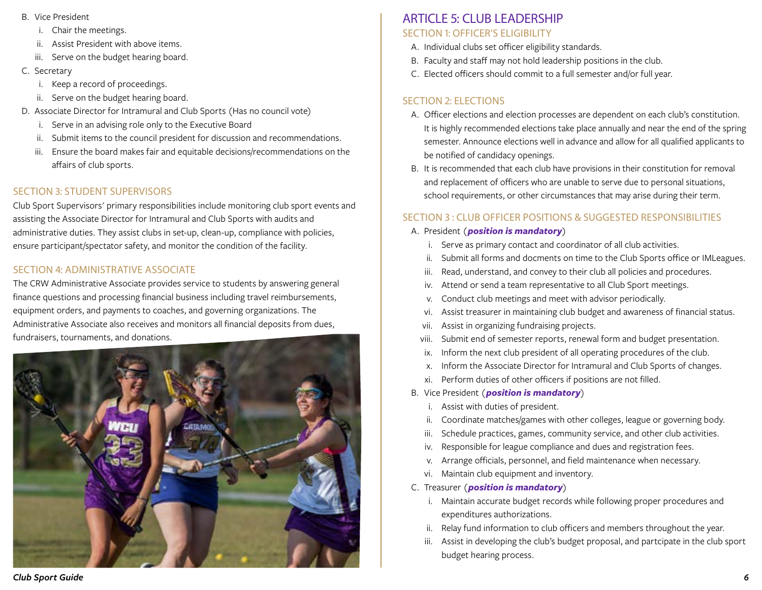- <span id="page-5-0"></span>B. Vice President
	- i. Chair the meetings.
	- ii. Assist President with above items.
	- iii. Serve on the budget hearing board.
- C. Secretary
	- i. Keep a record of proceedings.
	- ii. Serve on the budget hearing board.
- D. Associate Director for Intramural and Club Sports (Has no council vote)
	- i. Serve in an advising role only to the Executive Board
	- ii. Submit items to the council president for discussion and recommendations.
	- iii. Ensure the board makes fair and equitable decisions/recommendations on the affairs of club sports.

## SECTION 3: STUDENT SUPERVISORS

Club Sport Supervisors' primary responsibilities include monitoring club sport events and assisting the Associate Director for Intramural and Club Sports with audits and administrative duties. They assist clubs in set-up, clean-up, compliance with policies, ensure participant/spectator safety, and monitor the condition of the facility.

## SECTION 4: ADMINISTRATIVE ASSOCIATE

The CRW Administrative Associate provides service to students by answering general finance questions and processing financial business including travel reimbursements, equipment orders, and payments to coaches, and governing organizations. The Administrative Associate also receives and monitors all financial deposits from dues, fundraisers, tournaments, and donations.



## ARTICLE 5: CLUB LEADERSHIP SECTION 1: OFFICER'S ELIGIBILITY

- A. Individual clubs set officer eligibility standards.
- B. Faculty and staff may not hold leadership positions in the club.
- C. Elected officers should commit to a full semester and/or full year.

## SECTION 2: ELECTIONS

- A. Officer elections and election processes are dependent on each club's constitution. It is highly recommended elections take place annually and near the end of the spring semester. Announce elections well in advance and allow for all qualified applicants to be notified of candidacy openings.
- B. It is recommended that each club have provisions in their constitution for removal and replacement of officers who are unable to serve due to personal situations, school requirements, or other circumstances that may arise during their term.

## SECTION 3 : CLUB OFFICER POSITIONS & SUGGESTED RESPONSIBILITIES

- A. President (*position is mandatory*)
	- i. Serve as primary contact and coordinator of all club activities.
	- ii. Submit all forms and docments on time to the Club Sports office or IMLeagues.
	- iii. Read, understand, and convey to their club all policies and procedures.
	- iv. Attend or send a team representative to all Club Sport meetings.
	- v. Conduct club meetings and meet with advisor periodically.
	- vi. Assist treasurer in maintaining club budget and awareness of financial status.
	- vii. Assist in organizing fundraising projects.
	- viii. Submit end of semester reports, renewal form and budget presentation.
	- ix. Inform the next club president of all operating procedures of the club.
	- x. Inform the Associate Director for Intramural and Club Sports of changes.
	- xi. Perform duties of other officers if positions are not filled.
- B. Vice President (*position is mandatory*)
	- i. Assist with duties of president.
	- ii. Coordinate matches/games with other colleges, league or governing body.
	- iii. Schedule practices, games, community service, and other club activities.
	- iv. Responsible for league compliance and dues and registration fees.
	- v. Arrange officials, personnel, and field maintenance when necessary.
	- vi. Maintain club equipment and inventory.
- C. Treasurer (*position is mandatory*)
	- i. Maintain accurate budget records while following proper procedures and expenditures authorizations.
	- ii. Relay fund information to club officers and members throughout the year.
	- iii. Assist in developing the club's budget proposal, and partcipate in the club sport budget hearing process.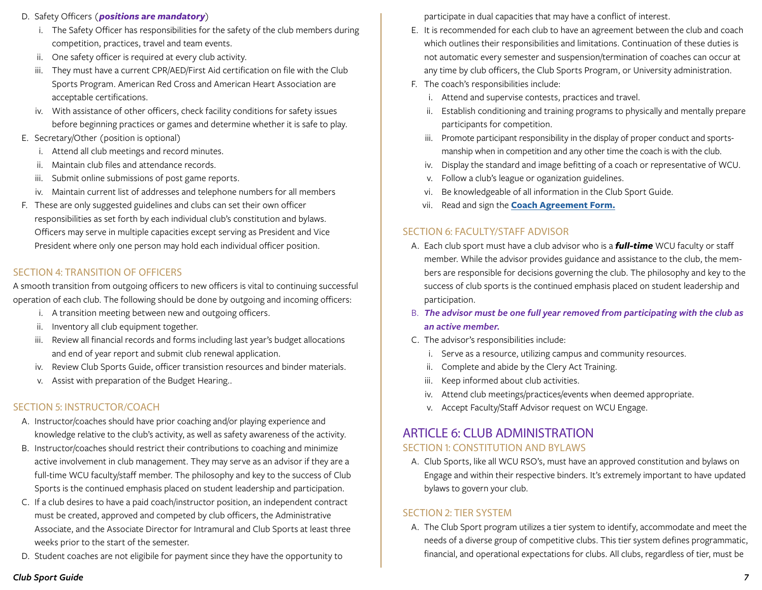- <span id="page-6-0"></span>D. Safety Officers (*positions are mandatory*)
	- i. The Safety Officer has responsibilities for the safety of the club members during competition, practices, travel and team events.
	- ii. One safety officer is required at every club activity.
	- iii. They must have a current CPR/AED/First Aid certification on file with the Club Sports Program. American Red Cross and American Heart Association are acceptable certifications.
	- iv. With assistance of other officers, check facility conditions for safety issues before beginning practices or games and determine whether it is safe to play.
- E. Secretary/Other (position is optional)
	- i. Attend all club meetings and record minutes.
	- ii. Maintain club files and attendance records.
	- iii. Submit online submissions of post game reports.
	- iv. Maintain current list of addresses and telephone numbers for all members
- F. These are only suggested guidelines and clubs can set their own officer responsibilities as set forth by each individual club's constitution and bylaws. Officers may serve in multiple capacities except serving as President and Vice President where only one person may hold each individual officer position.

#### SECTION 4: TRANSITION OF OFFICERS

A smooth transition from outgoing officers to new officers is vital to continuing successful operation of each club. The following should be done by outgoing and incoming officers:

- i. A transition meeting between new and outgoing officers.
- ii. Inventory all club equipment together.
- iii. Review all financial records and forms including last year's budget allocations and end of year report and submit club renewal application.
- iv. Review Club Sports Guide, officer transistion resources and binder materials.
- v. Assist with preparation of the Budget Hearing..

#### SECTION 5: INSTRUCTOR/COACH

- A. Instructor/coaches should have prior coaching and/or playing experience and knowledge relative to the club's activity, as well as safety awareness of the activity.
- B. Instructor/coaches should restrict their contributions to coaching and minimize active involvement in club management. They may serve as an advisor if they are a full-time WCU faculty/staff member. The philosophy and key to the success of Club Sports is the continued emphasis placed on student leadership and participation.
- C. If a club desires to have a paid coach/instructor position, an independent contract must be created, approved and competed by club officers, the Administrative Associate, and the Associate Director for Intramural and Club Sports at least three weeks prior to the start of the semester.
- D. Student coaches are not eligibile for payment since they have the opportunity to

participate in dual capacities that may have a conflict of interest.

- E. It is recommended for each club to have an agreement between the club and coach which outlines their responsibilities and limitations. Continuation of these duties is not automatic every semester and suspension/termination of coaches can occur at any time by club officers, the Club Sports Program, or University administration.
- F. The coach's responsibilities include:
	- i. Attend and supervise contests, practices and travel.
	- ii. Establish conditioning and training programs to physically and mentally prepare participants for competition.
	- iii. Promote participant responsibility in the display of proper conduct and sportsmanship when in competition and any other time the coach is with the club.
	- iv. Display the standard and image befitting of a coach or representative of WCU.
	- v. Follow a club's league or oganization guidelines.
	- vi. Be knowledgeable of all information in the Club Sport Guide.
	- vii. Read and sign the **[Coach Agreement Form.](https://www.wcu.edu/WebFiles/Coach_Agreement_Form.pdf)**

#### SECTION 6: FACULTY/STAFF ADVISOR

- A. Each club sport must have a club advisor who is a *full-time* WCU faculty or staff member. While the advisor provides guidance and assistance to the club, the members are responsible for decisions governing the club. The philosophy and key to the success of club sports is the continued emphasis placed on student leadership and participation.
- B. *The advisor must be one full year removed from participating with the club as an active member.*
- C. The advisor's responsibilities include:
	- i. Serve as a resource, utilizing campus and community resources.
	- ii. Complete and abide by the Clery Act Training.
	- iii. Keep informed about club activities.
	- iv. Attend club meetings/practices/events when deemed appropriate.
	- v. Accept Faculty/Staff Advisor request on WCU Engage.

## ARTICLE 6: CLUB ADMINISTRATION SECTION 1: CONSTITUTION AND BYLAWS

A. Club Sports, like all WCU RSO's, must have an approved constitution and bylaws on Engage and within their respective binders. It's extremely important to have updated bylaws to govern your club.

#### SECTION 2: TIER SYSTEM

A. The Club Sport program utilizes a tier system to identify, accommodate and meet the needs of a diverse group of competitive clubs. This tier system defines programmatic, financial, and operational expectations for clubs. All clubs, regardless of tier, must be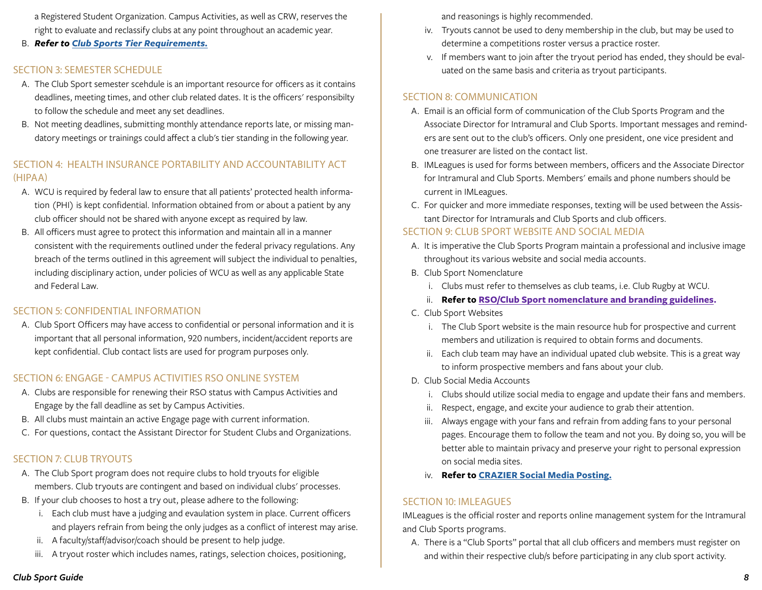<span id="page-7-0"></span>a Registered Student Organization. Campus Activities, as well as CRW, reserves the right to evaluate and reclassify clubs at any point throughout an academic year.

B. *Refer to [Club Sports Tier Requirements.](https://www.wcu.edu/WebFiles/CS_Tier_Structure.pdf)*

## SECTION 3: SEMESTER SCHEDULE

- A. The Club Sport semester scehdule is an important resource for officers as it contains deadlines, meeting times, and other club related dates. It is the officers' responsibilty to follow the schedule and meet any set deadlines.
- B. Not meeting deadlines, submitting monthly attendance reports late, or missing mandatory meetings or trainings could affect a club's tier standing in the following year.

## SECTION 4: HEALTH INSURANCE PORTABILITY AND ACCOUNTABILITY ACT (HIPAA)

- A. WCU is required by federal law to ensure that all patients' protected health information (PHI) is kept confidential. Information obtained from or about a patient by any club officer should not be shared with anyone except as required by law.
- B. All officers must agree to protect this information and maintain all in a manner consistent with the requirements outlined under the federal privacy regulations. Any breach of the terms outlined in this agreement will subject the individual to penalties, including disciplinary action, under policies of WCU as well as any applicable State and Federal Law.

#### SECTION 5: CONFIDENTIAL INFORMATION

A. Club Sport Officers may have access to confidential or personal information and it is important that all personal information, 920 numbers, incident/accident reports are kept confidential. Club contact lists are used for program purposes only.

## SECTION 6: ENGAGE - CAMPUS ACTIVITIES RSO ONLINE SYSTEM

- A. Clubs are responsible for renewing their RSO status with Campus Activities and Engage by the fall deadline as set by Campus Activities.
- B. All clubs must maintain an active Engage page with current information.
- C. For questions, contact the Assistant Director for Student Clubs and Organizations.

## SECTION 7: CLUB TRYOUTS

- A. The Club Sport program does not require clubs to hold tryouts for eligible members. Club tryouts are contingent and based on individual clubs' processes.
- B. If your club chooses to host a try out, please adhere to the following:
	- i. Each club must have a judging and evaulation system in place. Current officers and players refrain from being the only judges as a conflict of interest may arise.
	- ii. A faculty/staff/advisor/coach should be present to help judge.
	- iii. A tryout roster which includes names, ratings, selection choices, positioning,

and reasonings is highly recommended.

- iv. Tryouts cannot be used to deny membership in the club, but may be used to determine a competitions roster versus a practice roster.
- v. If members want to join after the tryout period has ended, they should be evaluated on the same basis and criteria as tryout participants.

## SECTION 8: COMMUNICATION

- A. Email is an official form of communication of the Club Sports Program and the Associate Director for Intramural and Club Sports. Important messages and reminders are sent out to the club's officers. Only one president, one vice president and one treasurer are listed on the contact list.
- B. IMLeagues is used for forms between members, officers and the Associate Director for Intramural and Club Sports. Members' emails and phone numbers should be current in IMLeagues.
- C. For quicker and more immediate responses, texting will be used between the Assistant Director for Intramurals and Club Sports and club officers.

## SECTION 9: CLUB SPORT WEBSITE AND SOCIAL MEDIA

- A. It is imperative the Club Sports Program maintain a professional and inclusive image throughout its various website and social media accounts.
- B. Club Sport Nomenclature
	- i. Clubs must refer to themselves as club teams, i.e. Club Rugby at WCU.
	- ii. **Refer to [RSO/Club Sport nomenclature and branding guidelines.](http://www.wcu.edu/experience/connect-and-join/campus-recreation/club-sports.aspx)**
- C. Club Sport Websites
	- i. The Club Sport website is the main resource hub for prospective and current members and utilization is required to obtain forms and documents.
	- ii. Each club team may have an individual upated club website. This is a great way to inform prospective members and fans about your club.
- D. Club Social Media Accounts
	- i. Clubs should utilize social media to engage and update their fans and members.
	- ii. Respect, engage, and excite your audience to grab their attention.
	- iii. Always engage with your fans and refrain from adding fans to your personal pages. Encourage them to follow the team and not you. By doing so, you will be better able to maintain privacy and preserve your right to personal expression on social media sites.
	- iv. **Refer to [CRAZIER Social Media Posting.](https://www.wcu.edu/WebFiles/CRAZIER_Social_Media_Posts.pdf)**

#### SECTION 10: IMLEAGUES

IMLeagues is the official roster and reports online management system for the Intramural and Club Sports programs.

A. There is a "Club Sports" portal that all club officers and members must register on and within their respective club/s before participating in any club sport activity.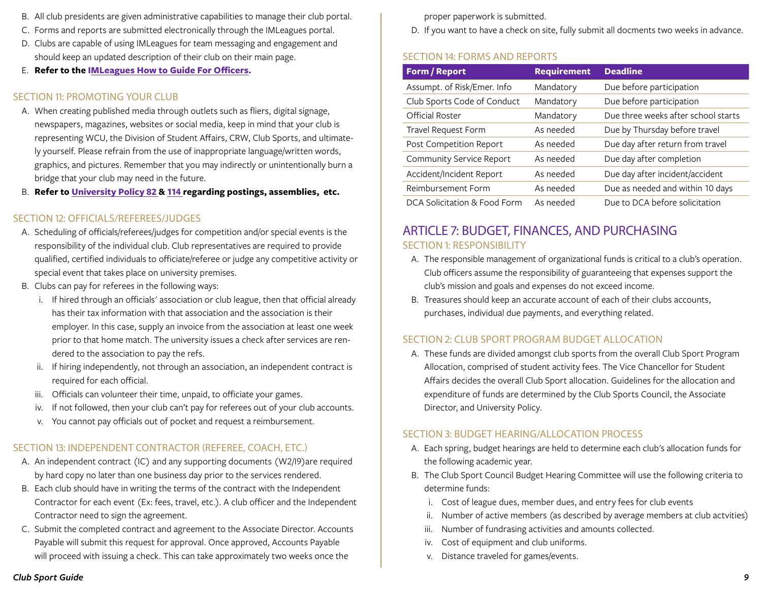- <span id="page-8-0"></span>B. All club presidents are given administrative capabilities to manage their club portal.
- C. Forms and reports are submitted electronically through the IMLeagues portal.
- D. Clubs are capable of using IMLeagues for team messaging and engagement and should keep an updated description of their club on their main page.
- E. **Refer to the I[MLeagues How to Guide For Officers.](http://www.wcu.edu/experience/connect-and-join/campus-recreation/club-sports.aspx)**

#### SECTION 11: PROMOTING YOUR CLUB

- A. When creating published media through outlets such as fliers, digital signage, newspapers, magazines, websites or social media, keep in mind that your club is representing WCU, the Division of Student Affairs, CRW, Club Sports, and ultimately yourself. Please refrain from the use of inappropriate language/written words, graphics, and pictures. Remember that you may indirectly or unintentionally burn a bridge that your club may need in the future.
- B. **Refer to [University Policy 82](http://www.wcu.edu/discover/leadership/office-of-the-chancellor/legal-counsel-office/university-policies/numerical-index/university-policy-82.asp) & [114](http://www.wcu.edu/discover/leadership/office-of-the-chancellor/legal-counsel-office/university-policies/numerical-index/university-policy-114.asp) regarding postings, assemblies, etc***.*

#### SECTION 12: OFFICIALS/REFEREES/JUDGES

- A. Scheduling of officials/referees/judges for competition and/or special events is the responsibility of the individual club. Club representatives are required to provide qualified, certified individuals to officiate/referee or judge any competitive activity or special event that takes place on university premises.
- B. Clubs can pay for referees in the following ways:
	- i. If hired through an officials' association or club league, then that official already has their tax information with that association and the association is their employer. In this case, supply an invoice from the association at least one week prior to that home match. The university issues a check after services are rendered to the association to pay the refs.
	- ii. If hiring independently, not through an association, an independent contract is required for each official.
	- iii. Officials can volunteer their time, unpaid, to officiate your games.
	- iv. If not followed, then your club can't pay for referees out of your club accounts.
	- v. You cannot pay officials out of pocket and request a reimbursement.

#### SECTION 13: INDEPENDENT CONTRACTOR (REFEREE, COACH, ETC.)

- A. An independent contract (IC) and any supporting documents (W2/I9)are required by hard copy no later than one business day prior to the services rendered.
- B. Each club should have in writing the terms of the contract with the Independent Contractor for each event (Ex: fees, travel, etc.). A club officer and the Independent Contractor need to sign the agreement.
- C. Submit the completed contract and agreement to the Associate Director. Accounts Payable will submit this request for approval. Once approved, Accounts Payable will proceed with issuing a check. This can take approximately two weeks once the

proper paperwork is submitted.

D. If you want to have a check on site, fully submit all docments two weeks in advance.

## SECTION 14: FORMS AND REPORTS

| <b>Form / Report</b>         | <b>Requirement</b> | <b>Deadline</b>                     |
|------------------------------|--------------------|-------------------------------------|
| Assumpt. of Risk/Emer. Info  | Mandatory          | Due before participation            |
| Club Sports Code of Conduct  | Mandatory          | Due before participation            |
| Official Roster              | Mandatory          | Due three weeks after school starts |
| Travel Request Form          | As needed          | Due by Thursday before travel       |
| Post Competition Report      | As needed          | Due day after return from travel    |
| Community Service Report     | As needed          | Due day after completion            |
| Accident/Incident Report     | As needed          | Due day after incident/accident     |
| Reimbursement Form           | As needed          | Due as needed and within 10 days    |
| DCA Solicitation & Food Form | As needed          | Due to DCA before solicitation      |

## ARTICLE 7: BUDGET, FINANCES, AND PURCHASING SECTION 1: RESPONSIBILITY

- A. The responsible management of organizational funds is critical to a club's operation. Club officers assume the responsibility of guaranteeing that expenses support the club's mission and goals and expenses do not exceed income.
- B. Treasures should keep an accurate account of each of their clubs accounts, purchases, individual due payments, and everything related.

## SECTION 2: CLUB SPORT PROGRAM BUDGET ALLOCATION

A. These funds are divided amongst club sports from the overall Club Sport Program Allocation, comprised of student activity fees. The Vice Chancellor for Student Affairs decides the overall Club Sport allocation. Guidelines for the allocation and expenditure of funds are determined by the Club Sports Council, the Associate Director, and University Policy.

## SECTION 3: BUDGET HEARING/ALLOCATION PROCESS

- A. Each spring, budget hearings are held to determine each club's allocation funds for the following academic year.
- B. The Club Sport Council Budget Hearing Committee will use the following criteria to determine funds:
	- i. Cost of league dues, member dues, and entry fees for club events
	- ii. Number of active members (as described by average members at club actvities)
	- iii. Number of fundrasing activities and amounts collected.
	- iv. Cost of equipment and club uniforms.
	- v. Distance traveled for games/events.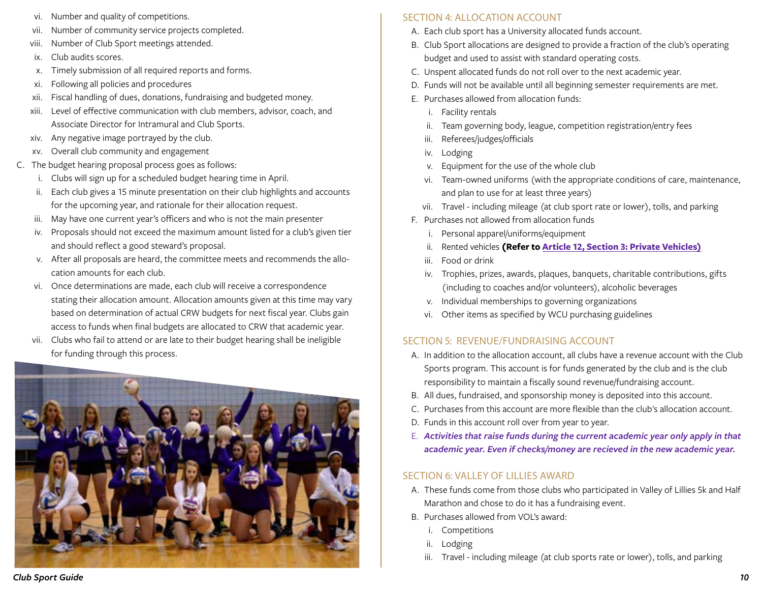- <span id="page-9-0"></span>vi. Number and quality of competitions.
- vii. Number of community service projects completed.
- viii. Number of Club Sport meetings attended.
- ix. Club audits scores.
- x. Timely submission of all required reports and forms.
- xi. Following all policies and procedures
- xii. Fiscal handling of dues, donations, fundraising and budgeted money.
- xiii. Level of effective communication with club members, advisor, coach, and Associate Director for Intramural and Club Sports.
- xiv. Any negative image portrayed by the club.
- xv. Overall club community and engagement
- C. The budget hearing proposal process goes as follows:
	- i. Clubs will sign up for a scheduled budget hearing time in April.
	- ii. Each club gives a 15 minute presentation on their club highlights and accounts for the upcoming year, and rationale for their allocation request.
	- iii. May have one current year's officers and who is not the main presenter
	- iv. Proposals should not exceed the maximum amount listed for a club's given tier and should reflect a good steward's proposal.
	- v. After all proposals are heard, the committee meets and recommends the allocation amounts for each club.
	- vi. Once determinations are made, each club will receive a correspondence stating their allocation amount. Allocation amounts given at this time may vary based on determination of actual CRW budgets for next fiscal year. Clubs gain access to funds when final budgets are allocated to CRW that academic year.
	- vii. Clubs who fail to attend or are late to their budget hearing shall be ineligible for funding through this process.



## SECTION 4: ALLOCATION ACCOUNT

- A. Each club sport has a University allocated funds account.
- B. Club Sport allocations are designed to provide a fraction of the club's operating budget and used to assist with standard operating costs.
- C. Unspent allocated funds do not roll over to the next academic year.
- D. Funds will not be available until all beginning semester requirements are met.
- E. Purchases allowed from allocation funds:
	- i. Facility rentals
	- ii. Team governing body, league, competition registration/entry fees
	- iii. Referees/judges/officials
	- iv. Lodging
	- v. Equipment for the use of the whole club
	- vi. Team-owned uniforms (with the appropriate conditions of care, maintenance, and plan to use for at least three years)
	- vii. Travel including mileage (at club sport rate or lower), tolls, and parking
- F. Purchases not allowed from allocation funds
	- i. Personal apparel/uniforms/equipment
	- ii. Rented vehicles **(Refer to [Article 12, Section 3: Private Vehicles\)](#page-16-0)**
	- iii. Food or drink
	- iv. Trophies, prizes, awards, plaques, banquets, charitable contributions, gifts (including to coaches and/or volunteers), alcoholic beverages
	- v. Individual memberships to governing organizations
	- vi. Other items as specified by WCU purchasing guidelines

## SECTION 5: REVENUE/FUNDRAISING ACCOUNT

- A. In addition to the allocation account, all clubs have a revenue account with the Club Sports program. This account is for funds generated by the club and is the club responsibility to maintain a fiscally sound revenue/fundraising account.
- B. All dues, fundraised, and sponsorship money is deposited into this account.
- C. Purchases from this account are more flexible than the club's allocation account.
- D. Funds in this account roll over from year to year.
- E. *Activities that raise funds during the current academic year only apply in that academic year. Even if checks/money are recieved in the new academic year.*

## SECTION 6: VALLEY OF LILLIES AWARD

- A. These funds come from those clubs who participated in Valley of Lillies 5k and Half Marathon and chose to do it has a fundraising event.
- B. Purchases allowed from VOL's award:
	- i. Competitions
	- ii. Lodging
	- iii. Travel including mileage (at club sports rate or lower), tolls, and parking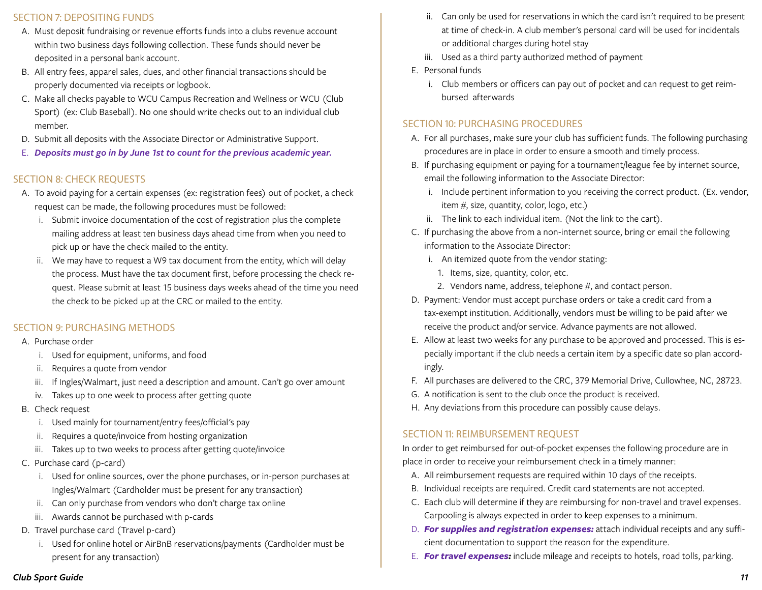#### SECTION 7: DEPOSITING FUNDS

- A. Must deposit fundraising or revenue efforts funds into a clubs revenue account within two business days following collection. These funds should never be deposited in a personal bank account.
- B. All entry fees, apparel sales, dues, and other financial transactions should be properly documented via receipts or logbook.
- C. Make all checks payable to WCU Campus Recreation and Wellness or WCU (Club Sport) (ex: Club Baseball). No one should write checks out to an individual club member.
- D. Submit all deposits with the Associate Director or Administrative Support.
- E. *Deposits must go in by June 1st to count for the previous academic year.*

#### SECTION 8: CHECK REQUESTS

- A. To avoid paying for a certain expenses (ex: registration fees) out of pocket, a check request can be made, the following procedures must be followed:
	- i. Submit invoice documentation of the cost of registration plus the complete mailing address at least ten business days ahead time from when you need to pick up or have the check mailed to the entity.
	- ii. We may have to request a W9 tax document from the entity, which will delay the process. Must have the tax document first, before processing the check request. Please submit at least 15 business days weeks ahead of the time you need the check to be picked up at the CRC or mailed to the entity.

#### SECTION 9: PURCHASING METHODS

#### A. Purchase order

- i. Used for equipment, uniforms, and food
- ii. Requires a quote from vendor
- iii. If Ingles/Walmart, just need a description and amount. Can't go over amount
- iv. Takes up to one week to process after getting quote
- B. Check request
	- i. Used mainly for tournament/entry fees/official's pay
	- ii. Requires a quote/invoice from hosting organization
	- iii. Takes up to two weeks to process after getting quote/invoice
- C. Purchase card (p-card)
	- i. Used for online sources, over the phone purchases, or in-person purchases at Ingles/Walmart (Cardholder must be present for any transaction)
	- ii. Can only purchase from vendors who don't charge tax online
	- iii. Awards cannot be purchased with p-cards
- D. Travel purchase card (Travel p-card)
	- i. Used for online hotel or AirBnB reservations/payments (Cardholder must be present for any transaction)
- ii. Can only be used for reservations in which the card isn't required to be present at time of check-in. A club member's personal card will be used for incidentals or additional charges during hotel stay
- iii. Used as a third party authorized method of payment
- E. Personal funds
	- i. Club members or officers can pay out of pocket and can request to get reimbursed afterwards

#### SECTION 10: PURCHASING PROCEDURES

- A. For all purchases, make sure your club has sufficient funds. The following purchasing procedures are in place in order to ensure a smooth and timely process.
- B. If purchasing equipment or paying for a tournament/league fee by internet source, email the following information to the Associate Director:
	- i. Include pertinent information to you receiving the correct product. (Ex. vendor, item #, size, quantity, color, logo, etc.)
	- ii. The link to each individual item. (Not the link to the cart).
- C. If purchasing the above from a non-internet source, bring or email the following information to the Associate Director:
	- i. An itemized quote from the vendor stating:
		- 1. Items, size, quantity, color, etc.
		- 2. Vendors name, address, telephone #, and contact person.
- D. Payment: Vendor must accept purchase orders or take a credit card from a tax-exempt institution. Additionally, vendors must be willing to be paid after we receive the product and/or service. Advance payments are not allowed.
- E. Allow at least two weeks for any purchase to be approved and processed. This is especially important if the club needs a certain item by a specific date so plan accordingly.
- F. All purchases are delivered to the CRC, 379 Memorial Drive, Cullowhee, NC, 28723.
- G. A notification is sent to the club once the product is received.
- H. Any deviations from this procedure can possibly cause delays.

#### SECTION 11: REIMBURSEMENT REQUEST

In order to get reimbursed for out-of-pocket expenses the following procedure are in place in order to receive your reimbursement check in a timely manner:

- A. All reimbursement requests are required within 10 days of the receipts.
- B. Individual receipts are required. Credit card statements are not accepted.
- C. Each club will determine if they are reimbursing for non-travel and travel expenses. Carpooling is always expected in order to keep expenses to a minimum.
- D. *For supplies and registration expenses:* attach individual receipts and any sufficient documentation to support the reason for the expenditure.
- E. *For travel expenses:* include mileage and receipts to hotels, road tolls, parking.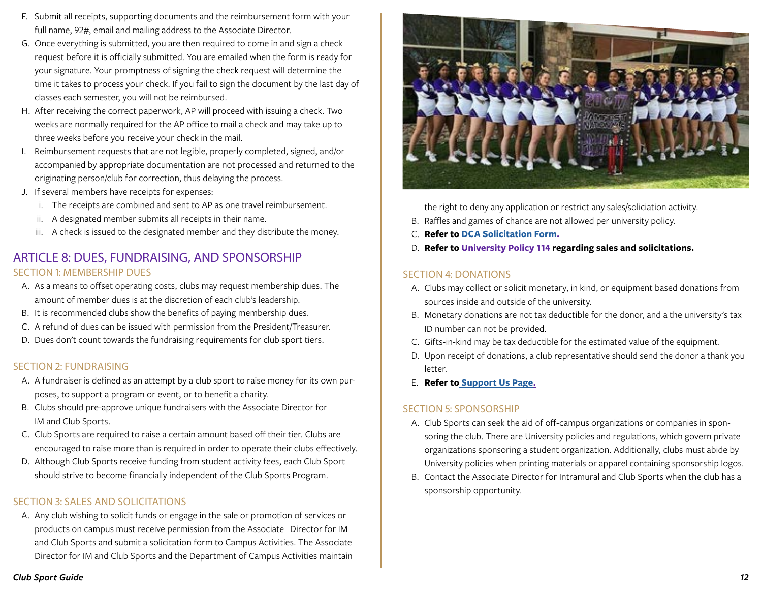- <span id="page-11-0"></span>F. Submit all receipts, supporting documents and the reimbursement form with your full name, 92#, email and mailing address to the Associate Director.
- G. Once everything is submitted, you are then required to come in and sign a check request before it is officially submitted. You are emailed when the form is ready for your signature. Your promptness of signing the check request will determine the time it takes to process your check. If you fail to sign the document by the last day of classes each semester, you will not be reimbursed.
- H. After receiving the correct paperwork, AP will proceed with issuing a check. Two weeks are normally required for the AP office to mail a check and may take up to three weeks before you receive your check in the mail.
- I. Reimbursement requests that are not legible, properly completed, signed, and/or accompanied by appropriate documentation are not processed and returned to the originating person/club for correction, thus delaying the process.
- J. If several members have receipts for expenses:
	- i. The receipts are combined and sent to AP as one travel reimbursement.
	- ii. A designated member submits all receipts in their name.
	- iii. A check is issued to the designated member and they distribute the money.

## ARTICLE 8: DUES, FUNDRAISING, AND SPONSORSHIP SECTION 1: MEMBERSHIP DUES

- A. As a means to offset operating costs, clubs may request membership dues. The amount of member dues is at the discretion of each club's leadership.
- B. It is recommended clubs show the benefits of paying membership dues.
- C. A refund of dues can be issued with permission from the President/Treasurer.
- D. Dues don't count towards the fundraising requirements for club sport tiers.

#### SECTION 2: FUNDRAISING

- A. A fundraiser is defined as an attempt by a club sport to raise money for its own purposes, to support a program or event, or to benefit a charity.
- B. Clubs should pre-approve unique fundraisers with the Associate Director for IM and Club Sports.
- C. Club Sports are required to raise a certain amount based off their tier. Clubs are encouraged to raise more than is required in order to operate their clubs effectively.
- D. Although Club Sports receive funding from student activity fees, each Club Sport should strive to become financially independent of the Club Sports Program.

#### SECTION 3: SALES AND SOLICITATIONS

A. Any club wishing to solicit funds or engage in the sale or promotion of services or products on campus must receive permission from the Associate Director for IM and Club Sports and submit a solicitation form to Campus Activities. The Associate Director for IM and Club Sports and the Department of Campus Activities maintain



the right to deny any application or restrict any sales/soliciation activity.

- B. Raffles and games of chance are not allowed per university policy.
- C. **Refer to [DCA Solicitation Form.](http://www.wcu.edu/experience/connect-and-join/campus-activities/roomreservations.aspx)**
- D. **Refer to [University Policy 114](http://www.wcu.edu/discover/leadership/office-of-the-chancellor/legal-counsel-office/university-policies/numerical-index/university-policy-114.asp) regarding sales and solicitations.**

#### SECTION 4: DONATIONS

- A. Clubs may collect or solicit monetary, in kind, or equipment based donations from sources inside and outside of the university.
- B. Monetary donations are not tax deductible for the donor, and a the university's tax ID number can not be provided.
- C. Gifts-in-kind may be tax deductible for the estimated value of the equipment.
- D. Upon receipt of donations, a club representative should send the donor a thank you letter.
- E. **Refer t[o Support Us Page](http://www.wcu.edu/experience/connect-and-join/campus-recreation/club-sports.aspx).**

#### SECTION 5: SPONSORSHIP

- A. Club Sports can seek the aid of off-campus organizations or companies in sponsoring the club. There are University policies and regulations, which govern private organizations sponsoring a student organization. Additionally, clubs must abide by University policies when printing materials or apparel containing sponsorship logos.
- B. Contact the Associate Director for Intramural and Club Sports when the club has a sponsorship opportunity.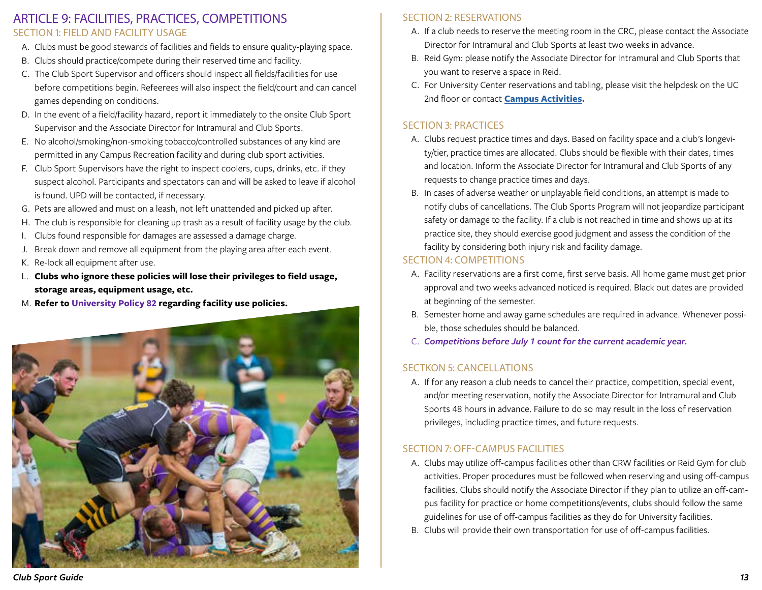## <span id="page-12-0"></span>ARTICLE 9: FACILITIES, PRACTICES, COMPETITIONS SECTION 1: FIELD AND FACILITY USAGE

- A. Clubs must be good stewards of facilities and fields to ensure quality-playing space.
- B. Clubs should practice/compete during their reserved time and facility.
- C. The Club Sport Supervisor and officers should inspect all fields/facilities for use before competitions begin. Refeerees will also inspect the field/court and can cancel games depending on conditions.
- D. In the event of a field/facility hazard, report it immediately to the onsite Club Sport Supervisor and the Associate Director for Intramural and Club Sports.
- E. No alcohol/smoking/non-smoking tobacco/controlled substances of any kind are permitted in any Campus Recreation facility and during club sport activities.
- F. Club Sport Supervisors have the right to inspect coolers, cups, drinks, etc. if they suspect alcohol. Participants and spectators can and will be asked to leave if alcohol is found. UPD will be contacted, if necessary.
- G. Pets are allowed and must on a leash, not left unattended and picked up after.
- H. The club is responsible for cleaning up trash as a result of facility usage by the club.
- I. Clubs found responsible for damages are assessed a damage charge.
- J. Break down and remove all equipment from the playing area after each event.
- K. Re-lock all equipment after use.
- L. **Clubs who ignore these policies will lose their privileges to field usage, storage areas, equipment usage, etc.**
- M. **Refer to [University Policy 82](http://www.wcu.edu/discover/leadership/office-of-the-chancellor/legal-counsel-office/university-policies/numerical-index/university-policy-82.asp) regarding facility use policies.**



#### SECTION 2: RESERVATIONS

- A. If a club needs to reserve the meeting room in the CRC, please contact the Associate Director for Intramural and Club Sports at least two weeks in advance.
- B. Reid Gym: please notify the Associate Director for Intramural and Club Sports that you want to reserve a space in Reid.
- C. For University Center reservations and tabling, please visit the helpdesk on the UC 2nd floor or contact **[Campus Activities](https://www.wcu.edu/experience/campus-activities/index.aspx).**

#### SECTION 3: PRACTICES

- A. Clubs request practice times and days. Based on facility space and a club's longevity/tier, practice times are allocated. Clubs should be flexible with their dates, times and location. Inform the Associate Director for Intramural and Club Sports of any requests to change practice times and days.
- B. In cases of adverse weather or unplayable field conditions, an attempt is made to notify clubs of cancellations. The Club Sports Program will not jeopardize participant safety or damage to the facility. If a club is not reached in time and shows up at its practice site, they should exercise good judgment and assess the condition of the facility by considering both injury risk and facility damage.

#### SECTION 4: COMPETITIONS

- A. Facility reservations are a first come, first serve basis. All home game must get prior approval and two weeks advanced noticed is required. Black out dates are provided at beginning of the semester.
- B. Semester home and away game schedules are required in advance. Whenever possible, those schedules should be balanced.
- C. *Competitions before July 1 count for the current academic year.*

#### SECTKON 5: CANCELLATIONS

A. If for any reason a club needs to cancel their practice, competition, special event, and/or meeting reservation, notify the Associate Director for Intramural and Club Sports 48 hours in advance. Failure to do so may result in the loss of reservation privileges, including practice times, and future requests.

#### SECTION 7: OFF-CAMPUS FACILITIES

- A. Clubs may utilize off-campus facilities other than CRW facilities or Reid Gym for club activities. Proper procedures must be followed when reserving and using off-campus facilities. Clubs should notify the Associate Director if they plan to utilize an off-campus facility for practice or home competitions/events, clubs should follow the same guidelines for use of off-campus facilities as they do for University facilities.
- B. Clubs will provide their own transportation for use of off-campus facilities.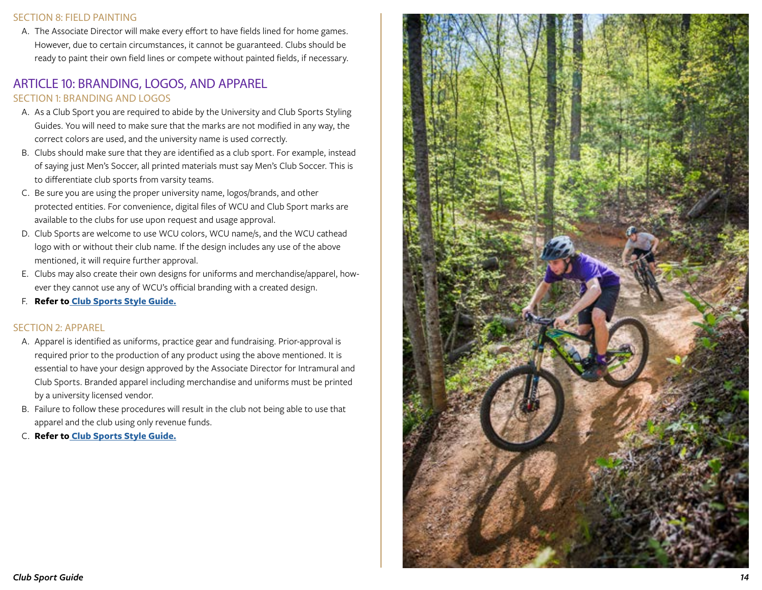#### <span id="page-13-0"></span>SECTION 8: FIELD PAINTING

A. The Associate Director will make every effort to have fields lined for home games. However, due to certain circumstances, it cannot be guaranteed. Clubs should be ready to paint their own field lines or compete without painted fields, if necessary.

## ARTICLE 10: BRANDING, LOGOS, AND APPAREL SECTION 1: BRANDING AND LOGOS

- A. As a Club Sport you are required to abide by the University and Club Sports Styling Guides. You will need to make sure that the marks are not modified in any way, the correct colors are used, and the university name is used correctly.
- B. Clubs should make sure that they are identified as a club sport. For example, instead of saying just Men's Soccer, all printed materials must say Men's Club Soccer. This is to differentiate club sports from varsity teams.
- C. Be sure you are using the proper university name, logos/brands, and other protected entities. For convenience, digital files of WCU and Club Sport marks are available to the clubs for use upon request and usage approval.
- D. Club Sports are welcome to use WCU colors, WCU name/s, and the WCU cathead logo with or without their club name. If the design includes any use of the above mentioned, it will require further approval.
- E. Clubs may also create their own designs for uniforms and merchandise/apparel, how ever they cannot use any of WCU's official branding with a created design.
- F. **Refer t[o](http://www.wcu.edu/experience/connect-and-join/campus-recreation/club-sports.aspx) [Club Sports Style Guide.](https://www.wcu.edu/WebFiles/Club_Sports_Style_Guide.pdf)**

#### SECTION 2: APPAREL

- A. Apparel is identified as uniforms, practice gear and fundraising. Prior-approval is required prior to the production of any product using the above mentioned. It is essential to have your design approved by the Associate Director for Intramural and Club Sports. Branded apparel including merchandise and uniforms must be printed by a university licensed vendor.
- B. Failure to follow these procedures will result in the club not being able to use that apparel and the club using only revenue funds.
- C. **Refer t[o Club Sports Style Guide.](https://www.wcu.edu/WebFiles/Club_Sports_Style_Guide.pdf)**

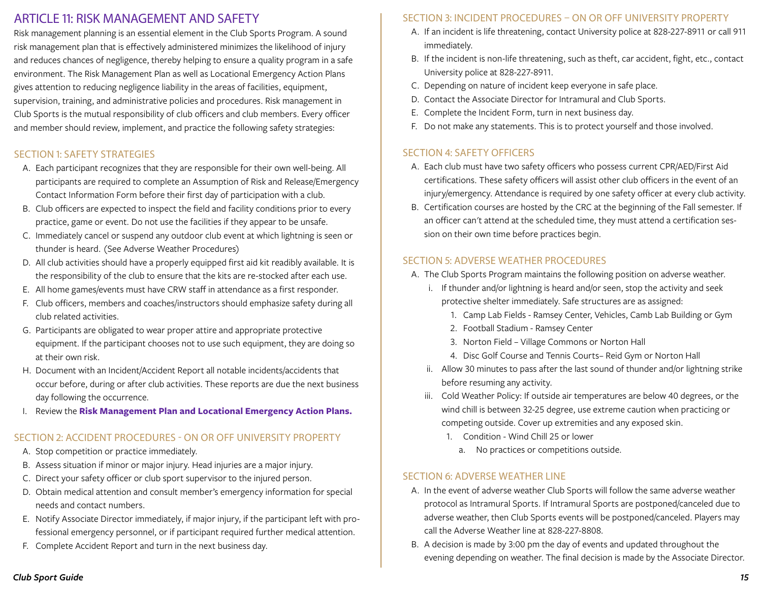## <span id="page-14-0"></span>ARTICLE 11: RISK MANAGEMENT AND SAFETY

Risk management planning is an essential element in the Club Sports Program. A sound risk management plan that is effectively administered minimizes the likelihood of injury and reduces chances of negligence, thereby helping to ensure a quality program in a safe environment. The Risk Management Plan as well as Locational Emergency Action Plans gives attention to reducing negligence liability in the areas of facilities, equipment, supervision, training, and administrative policies and procedures. Risk management in Club Sports is the mutual responsibility of club officers and club members. Every officer and member should review, implement, and practice the following safety strategies:

## SECTION 1: SAFETY STRATEGIES

- A. Each participant recognizes that they are responsible for their own well-being. All participants are required to complete an Assumption of Risk and Release/Emergency Contact Information Form before their first day of participation with a club.
- B. Club officers are expected to inspect the field and facility conditions prior to every practice, game or event. Do not use the facilities if they appear to be unsafe.
- C. Immediately cancel or suspend any outdoor club event at which lightning is seen or thunder is heard. (See Adverse Weather Procedures)
- D. All club activities should have a properly equipped first aid kit readibly available. It is the responsibility of the club to ensure that the kits are re-stocked after each use.
- E. All home games/events must have CRW staff in attendance as a first responder.
- F. Club officers, members and coaches/instructors should emphasize safety during all club related activities.
- G. Participants are obligated to wear proper attire and appropriate protective equipment. If the participant chooses not to use such equipment, they are doing so at their own risk.
- H. Document with an Incident/Accident Report all notable incidents/accidents that occur before, during or after club activities. These reports are due the next business day following the occurrence.
- I. Review the **Risk Management Plan and Locational Emergency Action Plans.**

#### SECTION 2: ACCIDENT PROCEDURES - ON OR OFF UNIVERSITY PROPERTY

- A. Stop competition or practice immediately.
- B. Assess situation if minor or major injury. Head injuries are a major injury.
- C. Direct your safety officer or club sport supervisor to the injured person.
- D. Obtain medical attention and consult member's emergency information for special needs and contact numbers.
- E. Notify Associate Director immediately, if major injury, if the participant left with professional emergency personnel, or if participant required further medical attention.
- F. Complete Accident Report and turn in the next business day.

#### SECTION 3: INCIDENT PROCEDURES – ON OR OFF UNIVERSITY PROPERTY

- A. If an incident is life threatening, contact University police at 828-227-8911 or call 911 immediately.
- B. If the incident is non-life threatening, such as theft, car accident, fight, etc., contact University police at 828-227-8911.
- C. Depending on nature of incident keep everyone in safe place.
- D. Contact the Associate Director for Intramural and Club Sports.
- E. Complete the Incident Form, turn in next business day.
- F. Do not make any statements. This is to protect yourself and those involved.

#### SECTION 4: SAFETY OFFICERS

- A. Each club must have two safety officers who possess current CPR/AED/First Aid certifications. These safety officers will assist other club officers in the event of an injury/emergency. Attendance is required by one safety officer at every club activity.
- B. Certification courses are hosted by the CRC at the beginning of the Fall semester. If an officer can't attend at the scheduled time, they must attend a certification session on their own time before practices begin.

#### SECTION 5: ADVERSE WEATHER PROCEDURES

- A. The Club Sports Program maintains the following position on adverse weather.
	- i. If thunder and/or lightning is heard and/or seen, stop the activity and seek protective shelter immediately. Safe structures are as assigned:
		- 1. Camp Lab Fields Ramsey Center, Vehicles, Camb Lab Building or Gym
		- 2. Football Stadium Ramsey Center
		- 3. Norton Field Village Commons or Norton Hall
		- 4. Disc Golf Course and Tennis Courts– Reid Gym or Norton Hall
	- ii. Allow 30 minutes to pass after the last sound of thunder and/or lightning strike before resuming any activity.
	- iii. Cold Weather Policy: If outside air temperatures are below 40 degrees, or the wind chill is between 32-25 degree, use extreme caution when practicing or competing outside. Cover up extremities and any exposed skin.
		- 1. Condition Wind Chill 25 or lower
			- a. No practices or competitions outside.

#### SECTION 6: ADVERSE WEATHER LINE

- A. In the event of adverse weather Club Sports will follow the same adverse weather protocol as Intramural Sports. If Intramural Sports are postponed/canceled due to adverse weather, then Club Sports events will be postponed/canceled. Players may call the Adverse Weather line at 828-227-8808.
- B. A decision is made by 3:00 pm the day of events and updated throughout the evening depending on weather. The final decision is made by the Associate Director.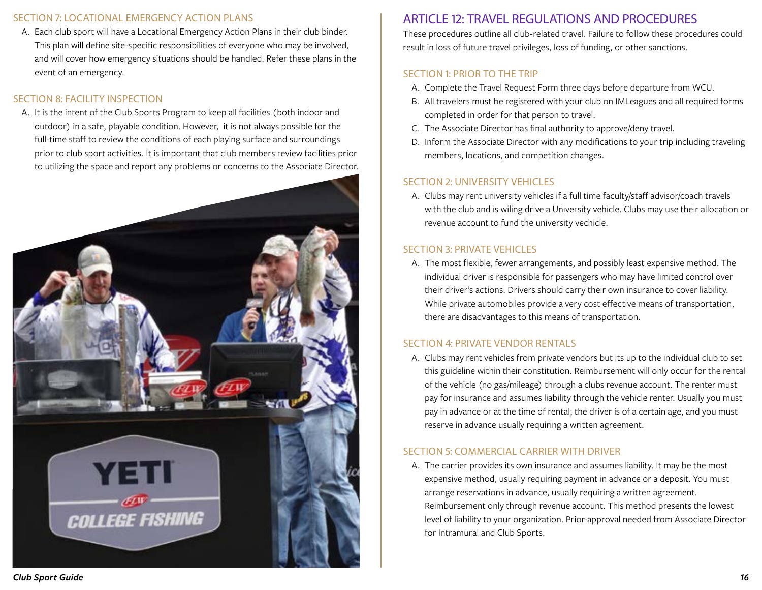#### <span id="page-15-0"></span>SECTION 7: LOCATIONAL EMERGENCY ACTION PLANS

A. Each club sport will have a Locational Emergency Action Plans in their club binder. This plan will define site-specific responsibilities of everyone who may be involved, and will cover how emergency situations should be handled. Refer these plans in the event of an emergency.

#### SECTION 8: FACILITY INSPECTION

A. It is the intent of the Club Sports Program to keep all facilities (both indoor and outdoor) in a safe, playable condition. However, it is not always possible for the full-time staff to review the conditions of each playing surface and surroundings prior to club sport activities. It is important that club members review facilities prior to utilizing the space and report any problems or concerns to the Associate Director.



# ARTICLE 12: TRAVEL REGULATIONS AND PROCEDURES

These procedures outline all club-related travel. Failure to follow these procedures could result in loss of future travel privileges, loss of funding, or other sanctions.

## SECTION 1: PRIOR TO THE TRIP

- A. Complete the Travel Request Form three days before departure from WCU.
- B. All travelers must be registered with your club on IMLeagues and all required forms completed in order for that person to travel.
- C. The Associate Director has final authority to approve/deny travel.
- D. Inform the Associate Director with any modifications to your trip including traveling members, locations, and competition changes.

#### SECTION 2: UNIVERSITY VEHICLES

A. Clubs may rent university vehicles if a full time faculty/staff advisor/coach travels with the club and is wiling drive a University vehicle. Clubs may use their allocation or revenue account to fund the university vechicle.

#### SECTION 3: PRIVATE VEHICLES

A. The most flexible, fewer arrangements, and possibly least expensive method. The individual driver is responsible for passengers who may have limited control over their driver's actions. Drivers should carry their own insurance to cover liability. While private automobiles provide a very cost effective means of transportation, there are disadvantages to this means of transportation.

#### SECTION 4: PRIVATE VENDOR RENTALS

A. Clubs may rent vehicles from private vendors but its up to the individual club to set this guideline within their constitution. Reimbursement will only occur for the rental of the vehicle (no gas/mileage) through a clubs revenue account. The renter must pay for insurance and assumes liability through the vehicle renter. Usually you must pay in advance or at the time of rental; the driver is of a certain age, and you must reserve in advance usually requiring a written agreement.

#### SECTION 5: COMMERCIAL CARRIER WITH DRIVER

A. The carrier provides its own insurance and assumes liability. It may be the most expensive method, usually requiring payment in advance or a deposit. You must arrange reservations in advance, usually requiring a written agreement. Reimbursement only through revenue account. This method presents the lowest level of liability to your organization. Prior-approval needed from Associate Director for Intramural and Club Sports.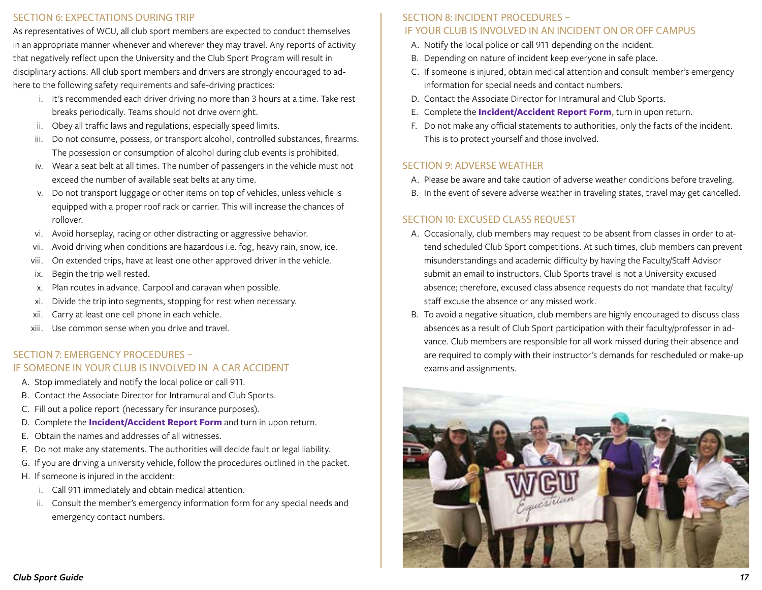#### <span id="page-16-0"></span>SECTION 6: EXPECTATIONS DURING TRIP

As representatives of WCU, all club sport members are expected to conduct themselves in an appropriate manner whenever and wherever they may travel. Any reports of activity that negatively reflect upon the University and the Club Sport Program will result in disciplinary actions. All club sport members and drivers are strongly encouraged to adhere to the following safety requirements and safe-driving practices:

- i. It's recommended each driver driving no more than 3 hours at a time. Take rest breaks periodically. Teams should not drive overnight.
- ii. Obey all traffic laws and regulations, especially speed limits.
- iii. Do not consume, possess, or transport alcohol, controlled substances, firearms. The possession or consumption of alcohol during club events is prohibited.
- iv. Wear a seat belt at all times. The number of passengers in the vehicle must not exceed the number of available seat belts at any time.
- v. Do not transport luggage or other items on top of vehicles, unless vehicle is equipped with a proper roof rack or carrier. This will increase the chances of rollover.
- vi. Avoid horseplay, racing or other distracting or aggressive behavior.
- vii. Avoid driving when conditions are hazardous i.e. fog, heavy rain, snow, ice.
- viii. On extended trips, have at least one other approved driver in the vehicle.
- ix. Begin the trip well rested.
- x. Plan routes in advance. Carpool and caravan when possible.
- xi. Divide the trip into segments, stopping for rest when necessary.
- xii. Carry at least one cell phone in each vehicle.
- xiii. Use common sense when you drive and travel.

#### SECTION 7: EMERGENCY PROCEDURES – IF SOMEONE IN YOUR CLUB IS INVOLVED IN A CAR ACCIDENT

- A. Stop immediately and notify the local police or call 911.
- B. Contact the Associate Director for Intramural and Club Sports.
- C. Fill out a police report (necessary for insurance purposes).
- D. Complete the **Incident/Accident Report Form** and turn in upon return.
- E. Obtain the names and addresses of all witnesses.
- F. Do not make any statements. The authorities will decide fault or legal liability.
- G. If you are driving a university vehicle, follow the procedures outlined in the packet.
- H. If someone is injured in the accident:
	- i. Call 911 immediately and obtain medical attention.
	- ii. Consult the member's emergency information form for any special needs and emergency contact numbers.

#### SECTION 8: INCIDENT PROCEDURES –

#### IF YOUR CLUB IS INVOLVED IN AN INCIDENT ON OR OFF CAMPUS

- A. Notify the local police or call 911 depending on the incident.
- B. Depending on nature of incident keep everyone in safe place.
- C. If someone is injured, obtain medical attention and consult member's emergency information for special needs and contact numbers.
- D. Contact the Associate Director for Intramural and Club Sports.
- E. Complete the **Incident/Accident Report Form**, turn in upon return.
- F. Do not make any official statements to authorities, only the facts of the incident. This is to protect yourself and those involved.

#### SECTION 9: ADVERSE WEATHER

- A. Please be aware and take caution of adverse weather conditions before traveling.
- B. In the event of severe adverse weather in traveling states, travel may get cancelled.

#### SECTION 10: EXCUSED CLASS REQUEST

- A. Occasionally, club members may request to be absent from classes in order to attend scheduled Club Sport competitions. At such times, club members can prevent misunderstandings and academic difficulty by having the Faculty/Staff Advisor submit an email to instructors. Club Sports travel is not a University excused absence; therefore, excused class absence requests do not mandate that faculty/ staff excuse the absence or any missed work.
- B. To avoid a negative situation, club members are highly encouraged to discuss class absences as a result of Club Sport participation with their faculty/professor in advance. Club members are responsible for all work missed during their absence and are required to comply with their instructor's demands for rescheduled or make-up exams and assignments.